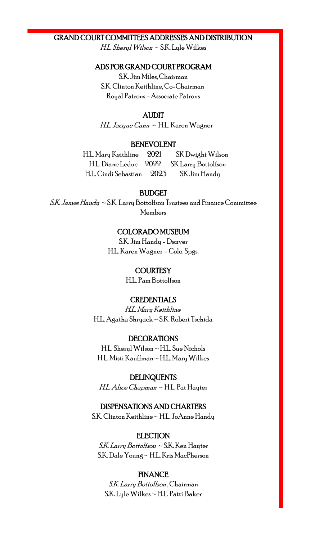## GRAND COURT COMMITTEES ADDRESSES AND DISTRIBUTION

H.L. Sheryl Wilson  $\sim$  S.K. Lyle Wilkes

## ADS FOR GRAND COURT PROGRAM

S.K. Jim Miles, Chairman S.K. Clinton Keithline, Co-Chairman Royal Patrons - Associate Patrons

#### AUDIT

 $H.L.$  Jacque Cann  $\sim$  H.L. Karen Wagner

#### BENEVOLENT

 H.L. Mary Keithline 2021 SK Dwight Wilson H.L. Diane Leduc 2022 SK Larry Bottolfson H.L. Cindi Sebastian 2023 SK Jim Handy

#### BUDGET

*S.K. James Handy*  $\sim$  S.K. Larry Bottolfson Trustees and Finance Committee Members

### COLORADO MUSEUM

S.K. Jim Handy - Denver H.L. Karen Wagner – Colo. Spgs.

### **COURTESY**

H.L. Pam Bottolfson

### **CREDENTIALS**

H.L. Mary Keithline H.L. Agatha Shryack ~ S.K. Robert Tschida

#### DECORATIONS

H.L. Sheryl Wilson ~ H.L. Sue Nichols H.L. Misti Kauffman ~ H.L. Mary Wilkes

### DELINQUENTS

 $HL$ . Alice Chapman  $\sim$  H.L. Pat Hayter

### DISPENSATIONS AND CHARTERS

S.K. Clinton Keithline ~ H.L. JoAnne Handy

#### **ELECTION**

 $S.K.$  Larry Bottolfson  $\sim$  S.K. Ken Hayter S.K. Dale Young ~ H.L. Kris MacPherson

## **FINANCE**

S.K. Larry Bottolfson , Chairman S.K. Lyle Wilkes ~ H.L. Patti Baker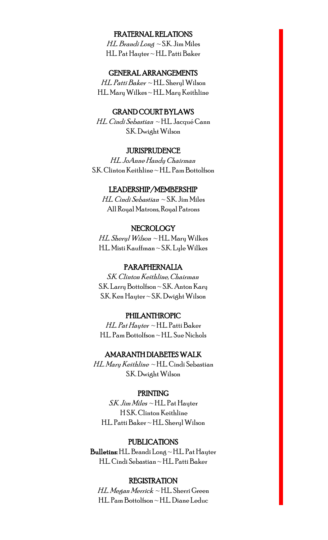## FRATERNAL RELATIONS

H.L. Brandi Long  $\sim$  S.K. Jim Miles H.L. Pat Hayter ~ H.L. Patti Baker

## GENERAL ARRANGEMENTS

H.L. Patti Baker  $\sim$  H.L. Sheryl Wilson H.L. Mary Wilkes ~ H.L. Mary Keithline

### GRAND COURT BYLAWS

H.L. Cindi Sebastian  $\sim$  H.L. Jacqué Cann S.K. Dwight Wilson

#### **JURISPRUDENCE**

H.L. JoAnne Handy Chairman S.K. Clinton Keithline ~ H.L. Pam Bottolfson

### LEADERSHIP/MEMBERSHIP

H.L. Cindi Sebastian  $\sim$  S.K. Jim Miles All Royal Matrons, Royal Patrons

## **NECROLOGY**

H.L. Sheryl Wilson  $\sim$  H.L. Mary Wilkes H.L. Misti Kauffman ~ S.K. Lyle Wilkes

# PARAPHERNALIA

S.K. Clinton Keithline, Chairman S.K. Larry Bottolfson ~ S.K. Anton Kary S.K. Ken Hayter ~ S.K. Dwight Wilson

### PHILANTHROPIC

 $HL$ . Pat Hayter  $\sim$  H.L. Patti Baker H.L. Pam Bottolfson ~ H.L. Sue Nichols

AMARANTH DIABETES WALK

H.L. Mary Keithline  $\sim$  H.L. Cindi Sebastian S.K. Dwight Wilson

### PRINTING

 $S.K.$  Jim Miles  $\sim$  H.L. Pat Hayter H S.K. Clinton Keithline H.L. Patti Baker ~ H.L. Sheryl Wilson

### PUBLICATIONS

Bulletins: H.L. Brandi Long ~ H.L. Pat Hayter H.L. Cindi Sebastian ~ H.L. Patti Baker

### REGISTRATION

H.L. Megan Merrick ~ H.L. Sherri Green H.L. Pam Bottolfson ~ H.L. Diane Leduc